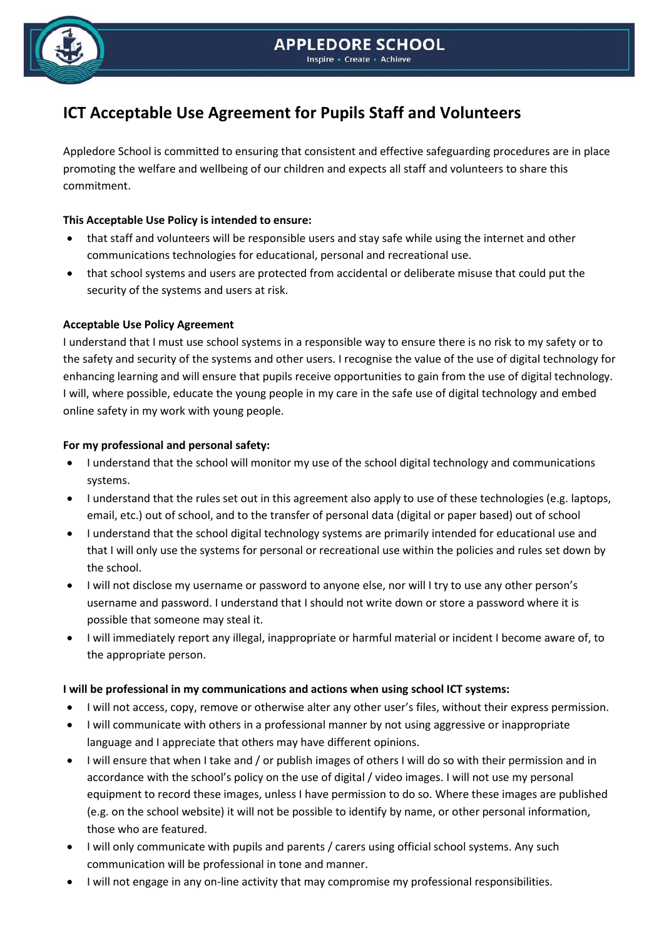

# **ICT Acceptable Use Agreement for Pupils Staff and Volunteers**

Appledore School is committed to ensuring that consistent and effective safeguarding procedures are in place promoting the welfare and wellbeing of our children and expects all staff and volunteers to share this commitment.

#### **This Acceptable Use Policy is intended to ensure:**

- that staff and volunteers will be responsible users and stay safe while using the internet and other communications technologies for educational, personal and recreational use.
- that school systems and users are protected from accidental or deliberate misuse that could put the security of the systems and users at risk.

### **Acceptable Use Policy Agreement**

I understand that I must use school systems in a responsible way to ensure there is no risk to my safety or to the safety and security of the systems and other users. I recognise the value of the use of digital technology for enhancing learning and will ensure that pupils receive opportunities to gain from the use of digital technology. I will, where possible, educate the young people in my care in the safe use of digital technology and embed online safety in my work with young people.

#### **For my professional and personal safety:**

- I understand that the school will monitor my use of the school digital technology and communications systems.
- I understand that the rules set out in this agreement also apply to use of these technologies (e.g. laptops, email, etc.) out of school, and to the transfer of personal data (digital or paper based) out of school
- I understand that the school digital technology systems are primarily intended for educational use and that I will only use the systems for personal or recreational use within the policies and rules set down by the school.
- I will not disclose my username or password to anyone else, nor will I try to use any other person's username and password. I understand that I should not write down or store a password where it is possible that someone may steal it.
- I will immediately report any illegal, inappropriate or harmful material or incident I become aware of, to the appropriate person.

#### **I will be professional in my communications and actions when using school ICT systems:**

- I will not access, copy, remove or otherwise alter any other user's files, without their express permission.
- I will communicate with others in a professional manner by not using aggressive or inappropriate language and I appreciate that others may have different opinions.
- I will ensure that when I take and / or publish images of others I will do so with their permission and in accordance with the school's policy on the use of digital / video images. I will not use my personal equipment to record these images, unless I have permission to do so. Where these images are published (e.g. on the school website) it will not be possible to identify by name, or other personal information, those who are featured.
- I will only communicate with pupils and parents / carers using official school systems. Any such communication will be professional in tone and manner.
- I will not engage in any on-line activity that may compromise my professional responsibilities.